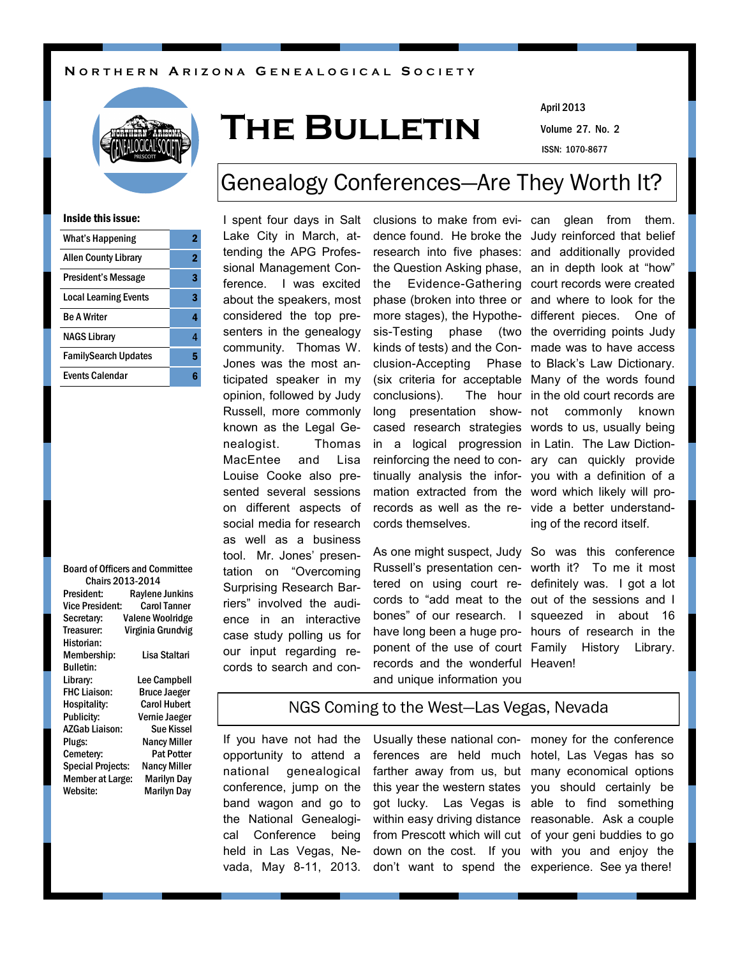#### **N O R T H E R N A R I Z O N A G E N E A L O G I C A L S O C I E T Y**



# **The Bulletin**

Volume 27. No. 2 April 2013 ISSN: 1070-8677

# Genealogy Conferences—Are They Worth It?

#### Inside this issue:

| <b>What's Happening</b>      | 2 |
|------------------------------|---|
| <b>Allen County Library</b>  | 2 |
| President's Message          | 3 |
| <b>Local Learning Events</b> | 3 |
| <b>Be A Writer</b>           | 4 |
| <b>NAGS Library</b>          | 4 |
| <b>FamilySearch Updates</b>  | 5 |
| Events Calendar              |   |

|                          | <b>Board of Officers and Committee</b> |  |  |  |  |  |
|--------------------------|----------------------------------------|--|--|--|--|--|
| <b>Chairs 2013-2014</b>  |                                        |  |  |  |  |  |
| President:               | <b>Raylene Junkins</b>                 |  |  |  |  |  |
| Vice President:          | <b>Carol Tanner</b>                    |  |  |  |  |  |
| Secretary:               | <b>Valene Woolridge</b>                |  |  |  |  |  |
| Treasurer:               | Virginia Grundvig                      |  |  |  |  |  |
| Historian:               |                                        |  |  |  |  |  |
| Membership:              | Lisa Staltari                          |  |  |  |  |  |
| <b>Bulletin:</b>         |                                        |  |  |  |  |  |
| Library:                 | Lee Campbell                           |  |  |  |  |  |
| <b>FHC Liaison:</b>      | <b>Bruce Jaeger</b>                    |  |  |  |  |  |
| Hospitality:             | <b>Carol Hubert</b>                    |  |  |  |  |  |
| <b>Publicity:</b>        | Vernie Jaeger                          |  |  |  |  |  |
| <b>AZGab Liaison:</b>    | Sue Kissel                             |  |  |  |  |  |
| Plugs:                   | <b>Nancy Miller</b>                    |  |  |  |  |  |
| Cemetery:                | Pat Potter                             |  |  |  |  |  |
| <b>Special Projects:</b> | <b>Nancy Miller</b>                    |  |  |  |  |  |
| <b>Member at Large:</b>  | <b>Marilyn Day</b>                     |  |  |  |  |  |
| Website:                 | <b>Marilyn Day</b>                     |  |  |  |  |  |
|                          |                                        |  |  |  |  |  |

I spent four days in Salt Lake City in March, attending the APG Professional Management Conference. I was excited about the speakers, most considered the top presenters in the genealogy community. Thomas W. Jones was the most anticipated speaker in my opinion, followed by Judy Russell, more commonly known as the Legal Genealogist. Thomas MacEntee and Lisa Louise Cooke also presented several sessions on different aspects of social media for research as well as a business tool. Mr. Jones' presentation on "Overcoming Surprising Research Barriers" involved the audience in an interactive case study polling us for our input regarding records to search and con-

clusions to make from evi-can glean from them. dence found. He broke the Judy reinforced that belief research into five phases: and additionally provided the Question Asking phase, an in depth look at "how" the Evidence-Gathering court records were created phase (broken into three or and where to look for the more stages), the Hypothe-different pieces. One of sis-Testing phase kinds of tests) and the Con-made was to have access clusion-Accepting Phase to Black's Law Dictionary. (six criteria for acceptable Many of the words found conclusions). long presentation show- not commonly known cased research strategies words to us, usually being in a logical progression in Latin. The Law Dictionreinforcing the need to con-ary can quickly provide tinually analysis the infor-you with a definition of a mation extracted from the word which likely will prorecords as well as the re-vide a better understandcords themselves.

As one might suspect, Judy So was this conference Russell's presentation cen-worth it? To me it most tered on using court re-definitely was. I got a lot cords to "add meat to the out of the sessions and I bones" of our research. I squeezed in about 16 have long been a huge pro-hours of research in the ponent of the use of court Family History Library. records and the wonderful Heaven! and unique information you

(two the overriding points Judy The hour in the old court records are ing of the record itself.

# NGS Coming to the West—Las Vegas, Nevada

If you have not had the opportunity to attend a national genealogical conference, jump on the band wagon and go to the National Genealogical Conference being held in Las Vegas, Nevada, May 8-11, 2013. Usually these national con-money for the conference ferences are held much hotel, Las Vegas has so farther away from us, but many economical options this year the western states you should certainly be got lucky. Las Vegas is able to find something within easy driving distance reasonable. Ask a couple from Prescott which will cut of your geni buddies to go down on the cost. If you with you and enjoy the don't want to spend the experience. See ya there!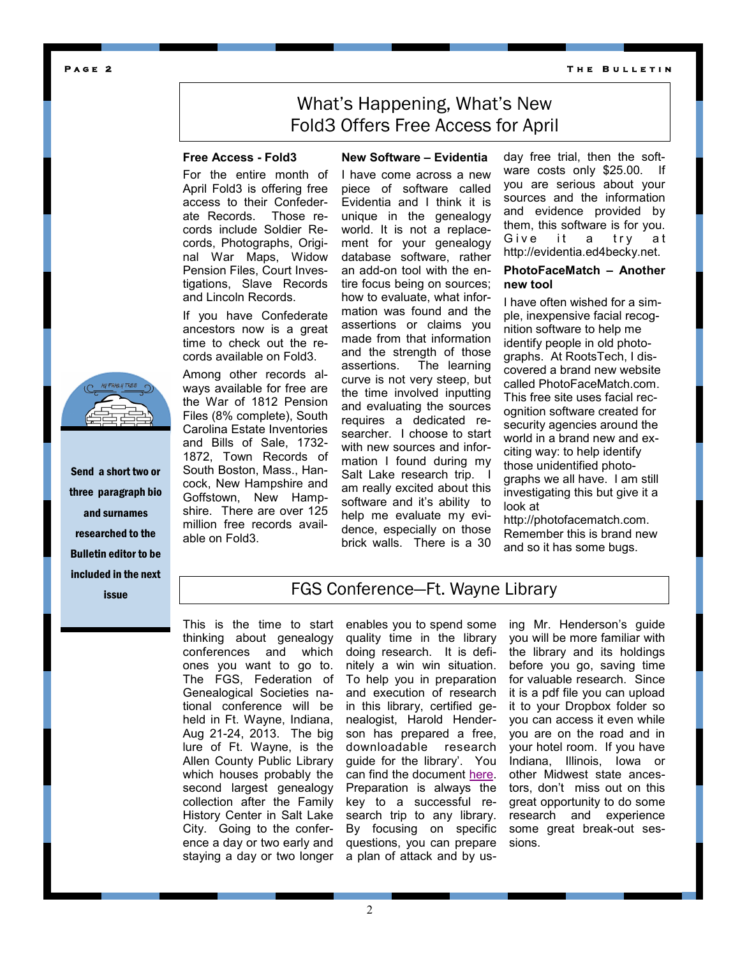**T h e B u l l e t i n** 

#### **P a g e 2**

# What's Happening, What's New Fold3 Offers Free Access for April

**New Software – Evidentia**

## **Free Access - Fold3**

For the entire month of April Fold3 is offering free access to their Confederate Records. Those records include Soldier Records, Photographs, Original War Maps, Widow Pension Files, Court Investigations, Slave Records and Lincoln Records.

If you have Confederate ancestors now is a great time to check out the records available on Fold3.

Among other records always available for free are the War of 1812 Pension Files (8% complete), South Carolina Estate Inventories and Bills of Sale, 1732- 1872, Town Records of South Boston, Mass., Hancock, New Hampshire and Goffstown, New Hampshire. There are over 125 million free records available on Fold3.

I have come across a new piece of software called Evidentia and I think it is unique in the genealogy world. It is not a replacement for your genealogy database software, rather an add-on tool with the entire focus being on sources; how to evaluate, what information was found and the assertions or claims you made from that information and the strength of those assertions. The learning curve is not very steep, but the time involved inputting and evaluating the sources requires a dedicated researcher. I choose to start with new sources and information I found during my Salt Lake research trip. I am really excited about this software and it's ability to help me evaluate my evidence, especially on those brick walls. There is a 30

day free trial, then the software costs only \$25.00. If you are serious about your sources and the information and evidence provided by them, this software is for you. Give it a try at http://evidentia.ed4becky.net.

### **PhotoFaceMatch – Another new tool**

I have often wished for a simple, inexpensive facial recognition software to help me identify people in old photographs. At RootsTech, I discovered a brand new website called PhotoFaceMatch.com. This free site uses facial recognition software created for security agencies around the world in a brand new and exciting way: to help identify those unidentified photographs we all have. I am still investigating this but give it a look at

http://photofacematch.com. Remember this is brand new and so it has some bugs.

Send a short two or three paragraph bio and surnames researched to the Bulletin editor to be included in the next

**issue FGS Conference—Ft. Wayne Library** 

This is the time to start thinking about genealogy conferences and which ones you want to go to. The FGS, Federation of Genealogical Societies national conference will be held in Ft. Wayne, Indiana, Aug 21-24, 2013. The big lure of Ft. Wayne, is the Allen County Public Library which houses probably the second largest genealogy collection after the Family History Center in Salt Lake City. Going to the conference a day or two early and staying a day or two longer a plan of attack and by us-

enables you to spend some quality time in the library doing research. It is definitely a win win situation. To help you in preparation and execution of research in this library, certified genealogist, Harold Henderson has prepared a free, downloadable research guide for the library'. You can find the document [here.](http://www.midwestroots.net/wp-content/uploads/2013/03/ACPLGC-April-2013.pdf) Preparation is always the key to a successful research trip to any library. By focusing on specific questions, you can prepare ing Mr. Henderson's guide you will be more familiar with the library and its holdings before you go, saving time for valuable research. Since it is a pdf file you can upload it to your Dropbox folder so you can access it even while you are on the road and in your hotel room. If you have Indiana, Illinois, Iowa or other Midwest state ancestors, don't miss out on this great opportunity to do some research and experience some great break-out sessions.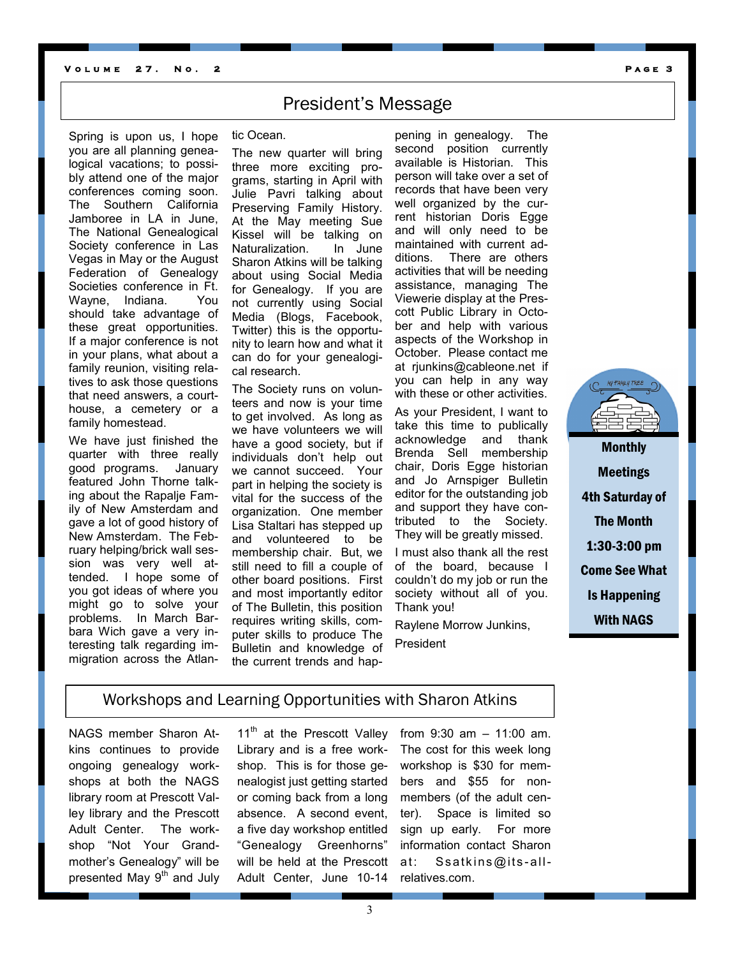#### **V** OLUME 27. NO. 2 **PAGE 3**

# President's Message

Spring is upon us, I hope you are all planning genealogical vacations; to possibly attend one of the major conferences coming soon. The Southern California Jamboree in LA in June, The National Genealogical Society conference in Las Vegas in May or the August Federation of Genealogy Societies conference in Ft. Wayne, Indiana. You should take advantage of these great opportunities. If a major conference is not in your plans, what about a family reunion, visiting relatives to ask those questions that need answers, a courthouse, a cemetery or a family homestead.

We have just finished the quarter with three really good programs. January featured John Thorne talking about the Rapalje Family of New Amsterdam and gave a lot of good history of New Amsterdam. The February helping/brick wall session was very well attended. I hope some of you got ideas of where you might go to solve your problems. In March Barbara Wich gave a very interesting talk regarding immigration across the Atlan-

tic Ocean.

The new quarter will bring three more exciting programs, starting in April with Julie Pavri talking about Preserving Family History. At the May meeting Sue Kissel will be talking on Naturalization. In June Sharon Atkins will be talking about using Social Media for Genealogy. If you are not currently using Social Media (Blogs, Facebook, Twitter) this is the opportunity to learn how and what it can do for your genealogical research.

The Society runs on volunteers and now is your time to get involved. As long as we have volunteers we will have a good society, but if individuals don't help out we cannot succeed. Your part in helping the society is vital for the success of the organization. One member Lisa Staltari has stepped up and volunteered to be membership chair. But, we still need to fill a couple of other board positions. First and most importantly editor of The Bulletin, this position requires writing skills, computer skills to produce The Bulletin and knowledge of the current trends and hap-

pening in genealogy. The second position currently available is Historian. This person will take over a set of records that have been very well organized by the current historian Doris Egge and will only need to be maintained with current additions. There are others activities that will be needing assistance, managing The Viewerie display at the Prescott Public Library in October and help with various aspects of the Workshop in October. Please contact me at rjunkins@cableone.net if you can help in any way with these or other activities.

As your President, I want to take this time to publically acknowledge and thank Brenda Sell membership chair, Doris Egge historian and Jo Arnspiger Bulletin editor for the outstanding job and support they have contributed to the Society. They will be greatly missed.

I must also thank all the rest of the board, because I couldn't do my job or run the society without all of you. Thank you!

Raylene Morrow Junkins, President



Monthly Meetings 4th Saturday of The Month 1:30-3:00 pm Come See What Is Happening With NAGS

# Workshops and Learning Opportunities with Sharon Atkins

NAGS member Sharon Atkins continues to provide ongoing genealogy workshops at both the NAGS library room at Prescott Valley library and the Prescott Adult Center. The workshop "Not Your Grandmother's Genealogy" will be presented May  $9<sup>th</sup>$  and July

11<sup>th</sup> at the Prescott Valley Library and is a free workshop. This is for those genealogist just getting started or coming back from a long absence. A second event, a five day workshop entitled "Genealogy Greenhorns" will be held at the Prescott Adult Center, June 10-14

from 9:30 am – 11:00 am. The cost for this week long workshop is \$30 for members and \$55 for nonmembers (of the adult center). Space is limited so sign up early. For more information contact Sharon at: Ssatk ins@its -allrelatives.com.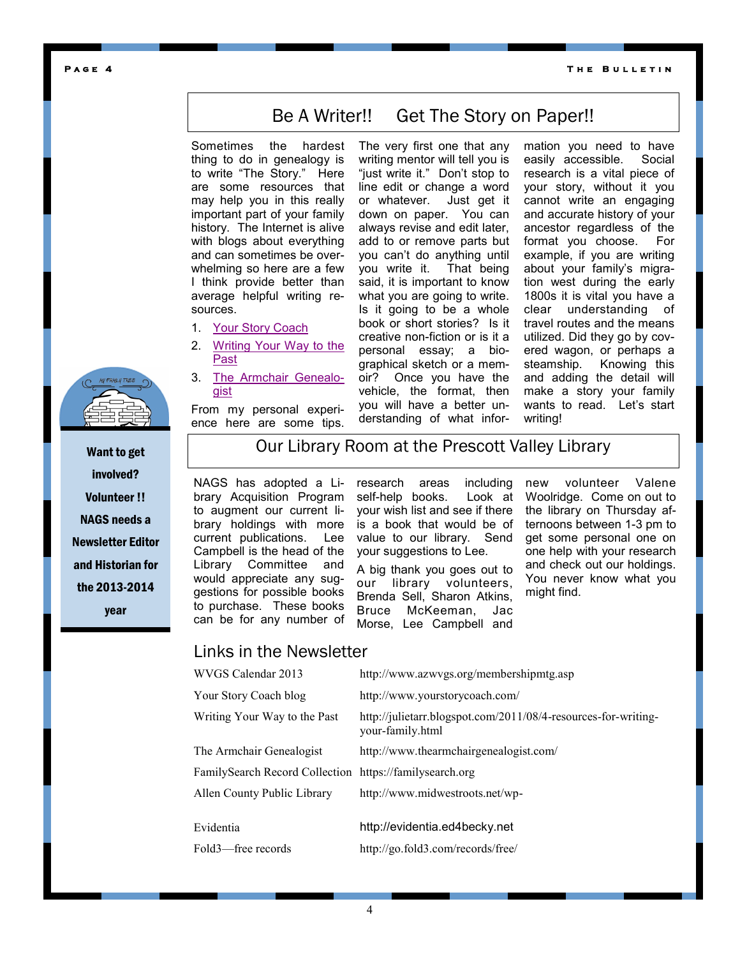**T h e B u l l e t i n** 

### **P a g e 4**

# Be A Writer!! Get The Story on Paper!!

Sometimes the hardest thing to do in genealogy is to write "The Story." Here are some resources that may help you in this really important part of your family history. The Internet is alive with blogs about everything and can sometimes be overwhelming so here are a few I think provide better than average helpful writing resources.

- 1. [Your Story Coach](http://www.yourstorycoach.com/)
- 2. [Writing Your Way to the](http://julietarr.blogspot.com/2011/08/4-resources-for-writing-your-family.html)  [Past](http://julietarr.blogspot.com/2011/08/4-resources-for-writing-your-family.html)
- 3. [The Armchair Genealo](http://www.thearmchairgenealogist.com/)[gist](http://www.thearmchairgenealogist.com/)

From my personal experience here are some tips.

The very first one that any writing mentor will tell you is "just write it." Don't stop to line edit or change a word or whatever. Just get it down on paper. You can always revise and edit later, add to or remove parts but you can't do anything until you write it. That being said, it is important to know what you are going to write. Is it going to be a whole book or short stories? Is it creative non-fiction or is it a personal essay; a biographical sketch or a memoir? Once you have the vehicle, the format, then you will have a better understanding of what information you need to have easily accessible. Social research is a vital piece of your story, without it you cannot write an engaging and accurate history of your ancestor regardless of the format you choose. For example, if you are writing about your family's migration west during the early 1800s it is vital you have a clear understanding of travel routes and the means utilized. Did they go by covered wagon, or perhaps a steamship. Knowing this and adding the detail will make a story your family wants to read. Let's start writing!



Want to get involved? Volunteer !! NAGS needs a Newsletter Editor and Historian for the 2013-2014 year

# Our Library Room at the Prescott Valley Library

NAGS has adopted a Library Acquisition Program to augment our current library holdings with more current publications. Lee Campbell is the head of the Library Committee and would appreciate any suggestions for possible books to purchase. These books can be for any number of

research areas including self-help books. Look at your wish list and see if there is a book that would be of value to our library. Send your suggestions to Lee.

A big thank you goes out to our library volunteers, Brenda Sell, Sharon Atkins, Bruce McKeeman, Jac Morse, Lee Campbell and

new volunteer Valene Woolridge. Come on out to the library on Thursday afternoons between 1-3 pm to get some personal one on one help with your research and check out our holdings. You never know what you might find.

## Links in the Newsletter

| WVGS Calendar 2013                                      | http://www.azwvgs.org/membershipmtg.asp                                            |
|---------------------------------------------------------|------------------------------------------------------------------------------------|
| Your Story Coach blog                                   | http://www.yourstorycoach.com/                                                     |
| Writing Your Way to the Past                            | http://julietarr.blogspot.com/2011/08/4-resources-for-writing-<br>your-family.html |
| The Armchair Genealogist                                | http://www.thearmchairgenealogist.com/                                             |
| FamilySearch Record Collection https://familysearch.org |                                                                                    |
| Allen County Public Library                             | http://www.midwestroots.net/wp-                                                    |
| Evidentia<br>Fold3—free records                         | http://evidentia.ed4becky.net<br>http://go.fold3.com/records/free/                 |
|                                                         |                                                                                    |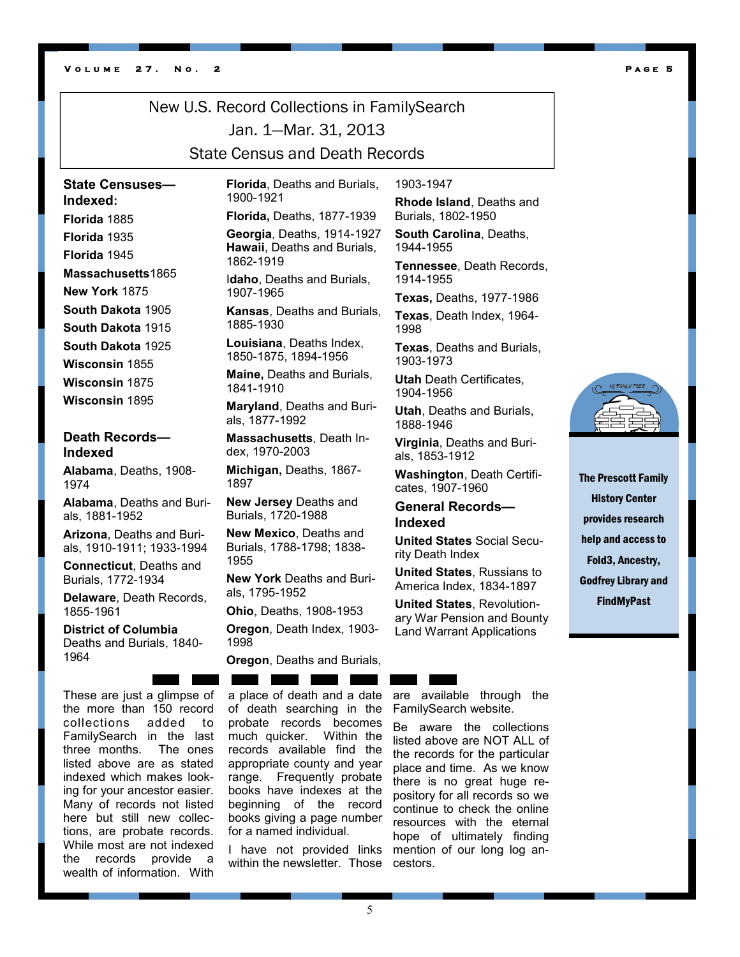#### **V o l u m e 2 7 . N o . 2 P a g e 5**

# New U.S. Record Collections in FamilySearch Jan. 1—Mar. 31, 2013 State Census and Death Records

**State Censuses— Indexed: Florida** 1885

**Florida** 1935 **Florida** 1945 **Massachusetts**1865

**New York** 1875

**South Dakota** 1905 **South Dakota** 1915 **South Dakota** 1925 **Wisconsin** 1855 **Wisconsin** 1875

**Wisconsin** 1895

## **Death Records— Indexed**

**Alabama**, Deaths, 1908- 1974

**Alabama**, Deaths and Burials, 1881-1952

**Arizona**, Deaths and Burials, 1910-1911; 1933-1994

**Connecticut**, Deaths and Burials, 1772-1934

**Delaware**, Death Records, 1855-1961

**District of Columbia**  Deaths and Burials, 1840- 1964

These are just a glimpse of the more than 150 record collections added to FamilySearch in the last three months. The ones listed above are as stated indexed which makes looking for your ancestor easier. Many of records not listed here but still new collections, are probate records. While most are not indexed the records provide a wealth of information. With

**Florida**, Deaths and Burials, 1900-1921

**Florida,** Deaths, 1877-1939 **Georgia**, Deaths, 1914-1927 **Hawaii**, Deaths and Burials, 1862-1919

I**daho**, Deaths and Burials, 1907-1965

**Kansas**, Deaths and Burials, 1885-1930

**Louisiana**, Deaths Index, 1850-1875, 1894-1956

**Maine,** Deaths and Burials, 1841-1910

**Maryland**, Deaths and Burials, 1877-1992

**Massachusetts**, Death Index, 1970-2003

**Michigan,** Deaths, 1867- 1897

**New Jersey** Deaths and Burials, 1720-1988

**New Mexico**, Deaths and Burials, 1788-1798; 1838- 1955

**New York** Deaths and Burials, 1795-1952

**Ohio**, Deaths, 1908-1953

**Oregon**, Death Index, 1903- 1998

**Oregon**, Deaths and Burials,

a place of death and a date of death searching in the probate records becomes much quicker. Within the records available find the appropriate county and year range. Frequently probate books have indexes at the beginning of the record books giving a page number for a named individual.

I have not provided links within the newsletter. Those

1903-1947

**Rhode Island**, Deaths and Burials, 1802-1950

**South Carolina**, Deaths, 1944-1955

**Tennessee**, Death Records, 1914-1955

**Texas,** Deaths, 1977-1986

**Texas**, Death Index, 1964- 1998

**Texas**, Deaths and Burials, 1903-1973

**Utah** Death Certificates, 1904-1956

**Utah**, Deaths and Burials, 1888-1946

**Virginia**, Deaths and Burials, 1853-1912

**Washington**, Death Certificates, 1907-1960

**General Records— Indexed**

**United States** Social Security Death Index

**United States**, Russians to America Index, 1834-1897

**United States**, Revolutionary War Pension and Bounty Land Warrant Applications

The Prescott Family History Center provides research help and access to Fold3, Ancestry, Godfrey Library and FindMyPast

are available through the FamilySearch website.

Be aware the collections listed above are NOT ALL of the records for the particular place and time. As we know there is no great huge repository for all records so we continue to check the online resources with the eternal hope of ultimately finding mention of our long log ancestors.